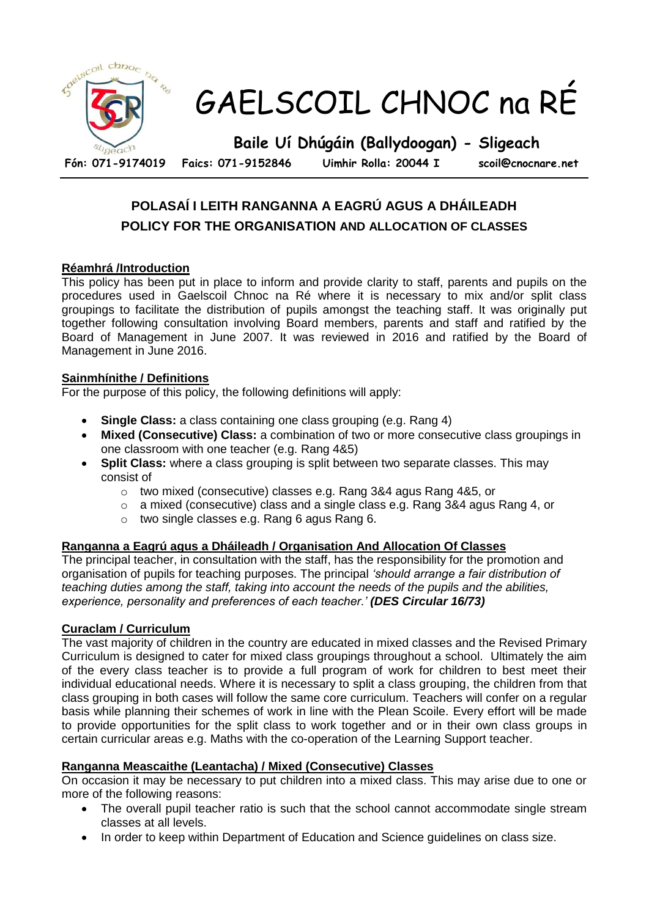

# **POLASAÍ I LEITH RANGANNA A EAGRÚ AGUS A DHÁILEADH POLICY FOR THE ORGANISATION AND ALLOCATION OF CLASSES**

## **Réamhrá /Introduction**

This policy has been put in place to inform and provide clarity to staff, parents and pupils on the procedures used in Gaelscoil Chnoc na Ré where it is necessary to mix and/or split class groupings to facilitate the distribution of pupils amongst the teaching staff. It was originally put together following consultation involving Board members, parents and staff and ratified by the Board of Management in June 2007. It was reviewed in 2016 and ratified by the Board of Management in June 2016.

### **Sainmhínithe / Definitions**

For the purpose of this policy, the following definitions will apply:

- **Single Class:** a class containing one class grouping (e.g. Rang 4)
- **Mixed (Consecutive) Class:** a combination of two or more consecutive class groupings in one classroom with one teacher (e.g. Rang 4&5)
- **Split Class:** where a class grouping is split between two separate classes. This may consist of
	- o two mixed (consecutive) classes e.g. Rang 3&4 agus Rang 4&5, or
	- $\circ$  a mixed (consecutive) class and a single class e.g. Rang 3&4 agus Rang 4, or
	- o two single classes e.g. Rang 6 agus Rang 6.

### **Ranganna a Eagrú agus a Dháileadh / Organisation And Allocation Of Classes**

The principal teacher, in consultation with the staff, has the responsibility for the promotion and organisation of pupils for teaching purposes. The principal *'should arrange a fair distribution of teaching duties among the staff, taking into account the needs of the pupils and the abilities, experience, personality and preferences of each teacher.' (DES Circular 16/73)*

### **Curaclam / Curriculum**

The vast majority of children in the country are educated in mixed classes and the Revised Primary Curriculum is designed to cater for mixed class groupings throughout a school. Ultimately the aim of the every class teacher is to provide a full program of work for children to best meet their individual educational needs. Where it is necessary to split a class grouping, the children from that class grouping in both cases will follow the same core curriculum. Teachers will confer on a regular basis while planning their schemes of work in line with the Plean Scoile. Every effort will be made to provide opportunities for the split class to work together and or in their own class groups in certain curricular areas e.g. Maths with the co-operation of the Learning Support teacher.

#### **Ranganna Meascaithe (Leantacha) / Mixed (Consecutive) Classes**

On occasion it may be necessary to put children into a mixed class. This may arise due to one or more of the following reasons:

- The overall pupil teacher ratio is such that the school cannot accommodate single stream classes at all levels.
- In order to keep within Department of Education and Science quidelines on class size.